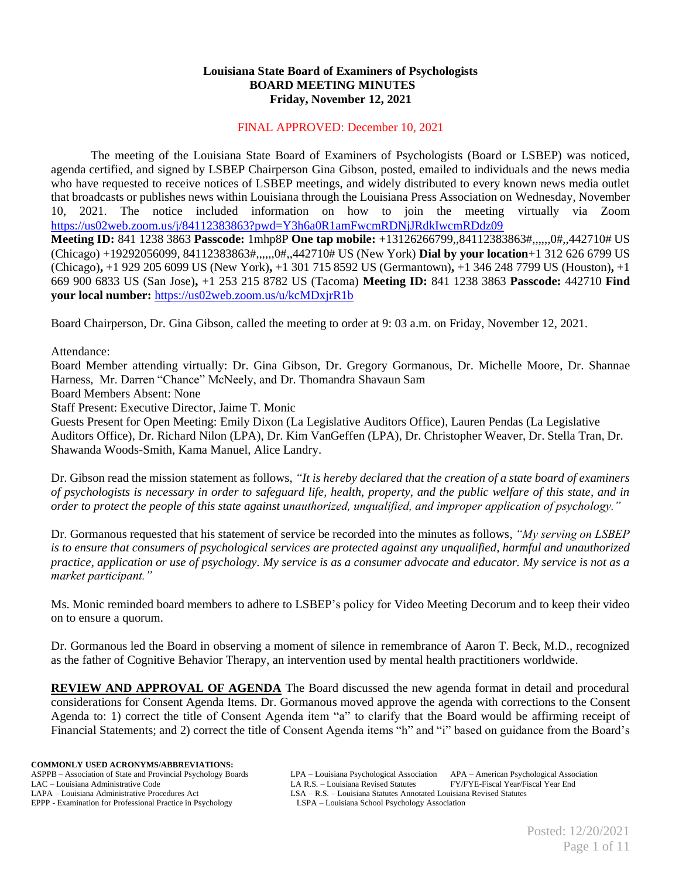## **Louisiana State Board of Examiners of Psychologists BOARD MEETING MINUTES Friday, November 12, 2021**

#### FINAL APPROVED: December 10, 2021

The meeting of the Louisiana State Board of Examiners of Psychologists (Board or LSBEP) was noticed, agenda certified, and signed by LSBEP Chairperson Gina Gibson, posted, emailed to individuals and the news media who have requested to receive notices of LSBEP meetings, and widely distributed to every known news media outlet that broadcasts or publishes news within Louisiana through the Louisiana Press Association on Wednesday, November 10, 2021. The notice included information on how to join the meeting virtually via Zoom <https://us02web.zoom.us/j/84112383863?pwd=Y3h6a0R1amFwcmRDNjJRdkIwcmRDdz09>

**Meeting ID:** 841 1238 3863 **Passcode:** 1mhp8P **One tap mobile:** +13126266799,,84112383863#,,,,,,0#,,442710# US (Chicago) +19292056099, 84112383863#,,,,,,0#,,442710# US (New York) **Dial by your location**+1 312 626 6799 US (Chicago)**,** +1 929 205 6099 US (New York)**,** +1 301 715 8592 US (Germantown)**,** +1 346 248 7799 US (Houston)**,** +1 669 900 6833 US (San Jose)**,** +1 253 215 8782 US (Tacoma) **Meeting ID:** 841 1238 3863 **Passcode:** 442710 **Find your local number:** <https://us02web.zoom.us/u/kcMDxjrR1b>

Board Chairperson, Dr. Gina Gibson, called the meeting to order at 9: 03 a.m. on Friday, November 12, 2021.

Attendance:

Board Member attending virtually: Dr. Gina Gibson, Dr. Gregory Gormanous, Dr. Michelle Moore, Dr. Shannae Harness, Mr. Darren "Chance" McNeely, and Dr. Thomandra Shavaun Sam

Board Members Absent: None

Staff Present: Executive Director, Jaime T. Monic

Guests Present for Open Meeting: Emily Dixon (La Legislative Auditors Office), Lauren Pendas (La Legislative Auditors Office), Dr. Richard Nilon (LPA), Dr. Kim VanGeffen (LPA), Dr. Christopher Weaver, Dr. Stella Tran, Dr. Shawanda Woods-Smith, Kama Manuel, Alice Landry.

Dr. Gibson read the mission statement as follows, *"It is hereby declared that the creation of a state board of examiners of psychologists is necessary in order to safeguard life, health, property, and the public welfare of this state, and in order to protect the people of this state against unauthorized, unqualified, and improper application of psychology."*

Dr. Gormanous requested that his statement of service be recorded into the minutes as follows, *"My serving on LSBEP is to ensure that consumers of psychological services are protected against any unqualified, harmful and unauthorized practice, application or use of psychology. My service is as a consumer advocate and educator. My service is not as a market participant."*

Ms. Monic reminded board members to adhere to LSBEP's policy for Video Meeting Decorum and to keep their video on to ensure a quorum.

Dr. Gormanous led the Board in observing a moment of silence in remembrance of Aaron T. Beck, M.D., recognized as the father of Cognitive Behavior Therapy, an intervention used by mental health practitioners worldwide.

**REVIEW AND APPROVAL OF AGENDA** The Board discussed the new agenda format in detail and procedural considerations for Consent Agenda Items. Dr. Gormanous moved approve the agenda with corrections to the Consent Agenda to: 1) correct the title of Consent Agenda item "a" to clarify that the Board would be affirming receipt of Financial Statements; and 2) correct the title of Consent Agenda items "h" and "i" based on guidance from the Board's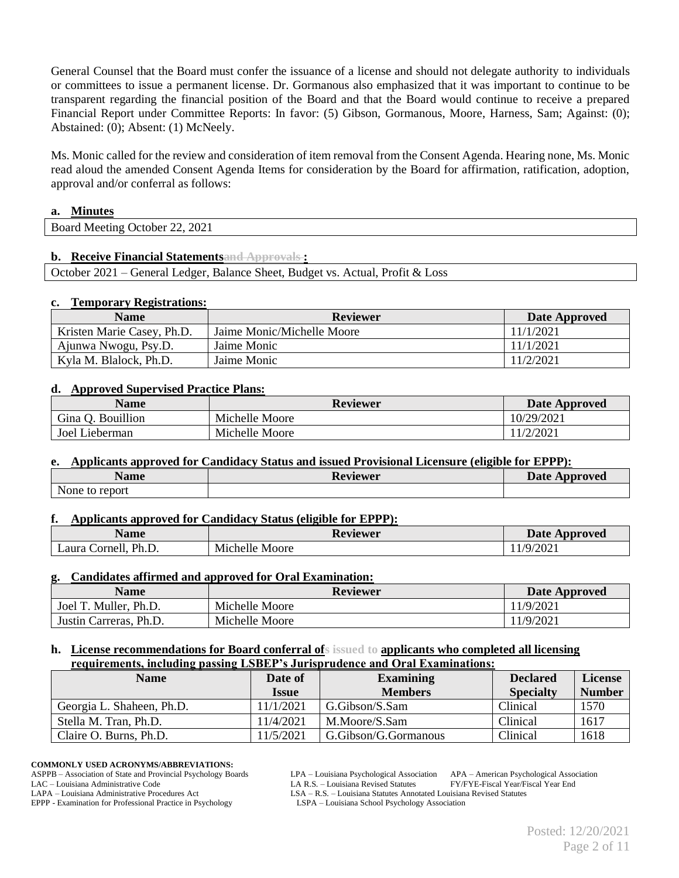General Counsel that the Board must confer the issuance of a license and should not delegate authority to individuals or committees to issue a permanent license. Dr. Gormanous also emphasized that it was important to continue to be transparent regarding the financial position of the Board and that the Board would continue to receive a prepared Financial Report under Committee Reports: In favor: (5) Gibson, Gormanous, Moore, Harness, Sam; Against: (0); Abstained: (0); Absent: (1) McNeely.

Ms. Monic called for the review and consideration of item removal from the Consent Agenda. Hearing none, Ms. Monic read aloud the amended Consent Agenda Items for consideration by the Board for affirmation, ratification, adoption, approval and/or conferral as follows:

#### **a. Minutes**

| 22, 2021<br><b>Board Meeting</b><br>Jctober |  |
|---------------------------------------------|--|

#### **b. Receive Financial Statementsand Approvals :**

October 2021 – General Ledger, Balance Sheet, Budget vs. Actual, Profit & Loss

#### **c. Temporary Registrations:**

| <b>Name</b>                | <b>Reviewer</b>            | Date Approved |
|----------------------------|----------------------------|---------------|
| Kristen Marie Casey, Ph.D. | Jaime Monic/Michelle Moore | 11/1/2021     |
| Ajunwa Nwogu, Psy.D.       | Jaime Monic                | 11/1/2021     |
| Kyla M. Blalock, Ph.D.     | Jaime Monic                | 11/2/2021     |

#### **d. Approved Supervised Practice Plans:**

| <b>Name</b>       | <b>Reviewer</b> | Date Approved |
|-------------------|-----------------|---------------|
| Gina O. Bouillion | Michelle Moore  | 10/29/2021    |
| Joel Lieberman    | Michelle Moore  | 11/2/2021     |

#### **e. Applicants approved for Candidacy Status and issued Provisional Licensure (eligible for EPPP):**

| - -<br>Name                | Reviewer | <b>Date Approved</b> |
|----------------------------|----------|----------------------|
| <b>T</b><br>None to report |          |                      |

#### **f. Applicants approved for Candidacy Status (eligible for EPPP):**

| Name                         | Reviewer          | <b>Date</b><br>Approved |
|------------------------------|-------------------|-------------------------|
| Ph.L.<br>∟aura C<br>Cornell. | Michelle<br>Moore | 1/9/202                 |

#### **g. Candidates affirmed and approved for Oral Examination:**

| Name                   | <b>Reviewer</b> | Date Approved |
|------------------------|-----------------|---------------|
| Joel T. Muller, Ph.D.  | Michelle Moore  | 11/9/2021     |
| Justin Carreras, Ph.D. | Michelle Moore  | 1/9/2021      |

#### **h. License recommendations for Board conferral ofs issued to applicants who completed all licensing requirements, including passing LSBEP's Jurisprudence and Oral Examinations:**

| <b>Name</b>               | Date of      | <b>Examining</b>     | <b>Declared</b>  | License       |
|---------------------------|--------------|----------------------|------------------|---------------|
|                           | <b>Issue</b> | <b>Members</b>       | <b>Specialty</b> | <b>Number</b> |
| Georgia L. Shaheen, Ph.D. | 11/1/2021    | G.Gibson/S.Sam       | <b>Clinical</b>  | 1570          |
| Stella M. Tran, Ph.D.     | 11/4/2021    | M.Moore/S.Sam        | Clinical         | 1617          |
| Claire O. Burns, Ph.D.    | 11/5/2021    | G.Gibson/G.Gormanous | Clinical         | 1618          |

#### **COMMONLY USED ACRONYMS/ABBREVIATIONS:**

ASPPB – Association of State and Provincial Psychology Boards LPA – Louisiana Psychological Association APA – American Psychological Association

EPPP - Examination for Professional Practice in Psychology

LAC – Louisiana Administrative Code LA R.S. – Louisiana Revised Statutes FY/FYE-Fiscal Year/Fiscal Year End<br>LAPA – Louisiana Administrative Procedures Act LSA – R.S. – Louisiana Statutes Annotated Louisiana Revised Statute

LSA – R.S. – Louisiana Statutes Annotated Louisiana Revised Statutes LSPA – Louisiana School Psychology Association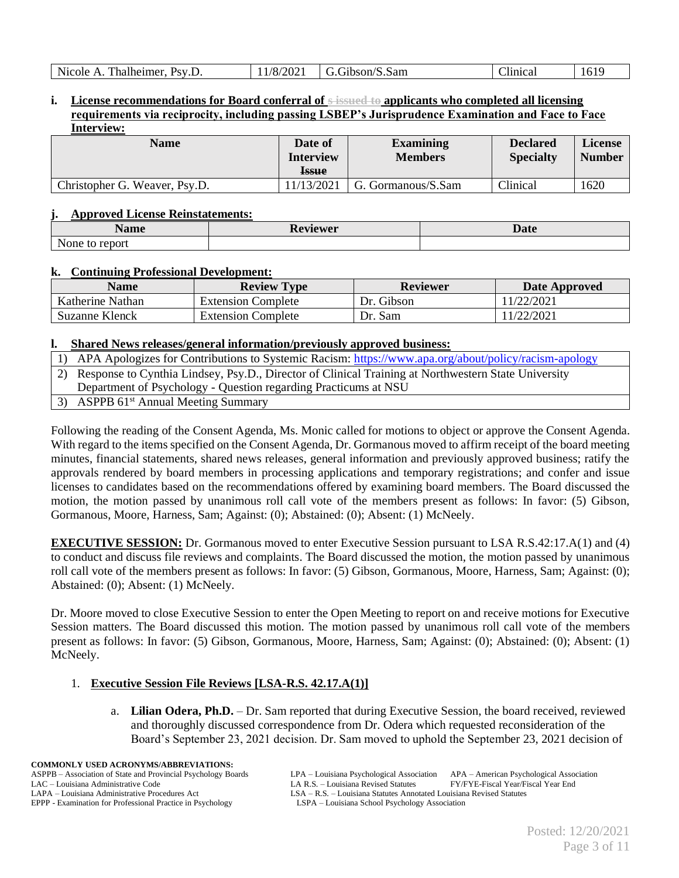## **i. License recommendations for Board conferral of s issued to applicants who completed all licensing requirements via reciprocity, including passing LSBEP's Jurisprudence Examination and Face to Face Interview:**

| <b>Name</b>                   | Date of<br><b>Interview</b><br><b>Issue</b> | <b>Examining</b><br><b>Members</b> | <b>Declared</b><br><b>Specialty</b> | <b>License</b><br><b>Number</b> |
|-------------------------------|---------------------------------------------|------------------------------------|-------------------------------------|---------------------------------|
| Christopher G. Weaver, Psy.D. | 11/13/2021                                  | G. Gormanous/S.Sam                 | Clinical                            | 1620                            |

### **j. Approved License Reinstatements:**

| - -<br><b>A</b> ame                 | eviewer<br>лν | ∽<br>' Inta<br>$\Delta$ <i>d</i> |
|-------------------------------------|---------------|----------------------------------|
| $\mathbf{v}$<br>report<br>None<br>w |               |                                  |

## **k. Continuing Professional Development:**

| <b>Name</b>      | <b>Review Type</b>        | Reviewer   | Date Approved |
|------------------|---------------------------|------------|---------------|
| Katherine Nathan | <b>Extension Complete</b> | Dr. Gibson | 1/22/2021     |
| Suzanne Klenck   | <b>Extension Complete</b> | Dr. Sam    | 1/22/2021     |

## **l. Shared News releases/general information/previously approved business:**

- 1) APA Apologizes for Contributions to Systemic Racism:<https://www.apa.org/about/policy/racism-apology>
- 2) Response to Cynthia Lindsey, Psy.D., Director of Clinical Training at Northwestern State University
- Department of Psychology Question regarding Practicums at NSU
- 3) ASPPB 61<sup>st</sup> Annual Meeting Summary

Following the reading of the Consent Agenda, Ms. Monic called for motions to object or approve the Consent Agenda. With regard to the items specified on the Consent Agenda, Dr. Gormanous moved to affirm receipt of the board meeting minutes, financial statements, shared news releases, general information and previously approved business; ratify the approvals rendered by board members in processing applications and temporary registrations; and confer and issue licenses to candidates based on the recommendations offered by examining board members. The Board discussed the motion, the motion passed by unanimous roll call vote of the members present as follows: In favor: (5) Gibson, Gormanous, Moore, Harness, Sam; Against: (0); Abstained: (0); Absent: (1) McNeely.

**EXECUTIVE SESSION:** Dr. Gormanous moved to enter Executive Session pursuant to LSA R.S.42:17.A(1) and (4) to conduct and discuss file reviews and complaints. The Board discussed the motion, the motion passed by unanimous roll call vote of the members present as follows: In favor: (5) Gibson, Gormanous, Moore, Harness, Sam; Against: (0); Abstained: (0); Absent: (1) McNeely.

Dr. Moore moved to close Executive Session to enter the Open Meeting to report on and receive motions for Executive Session matters. The Board discussed this motion. The motion passed by unanimous roll call vote of the members present as follows: In favor: (5) Gibson, Gormanous, Moore, Harness, Sam; Against: (0); Abstained: (0); Absent: (1) McNeely.

## 1. **Executive Session File Reviews [LSA-R.S. 42.17.A(1)]**

a. **Lilian Odera, Ph.D.** – Dr. Sam reported that during Executive Session, the board received, reviewed and thoroughly discussed correspondence from Dr. Odera which requested reconsideration of the Board's September 23, 2021 decision. Dr. Sam moved to uphold the September 23, 2021 decision of

**COMMONLY USED ACRONYMS/ABBREVIATIONS:** EPPP - Examination for Professional Practice in Psychology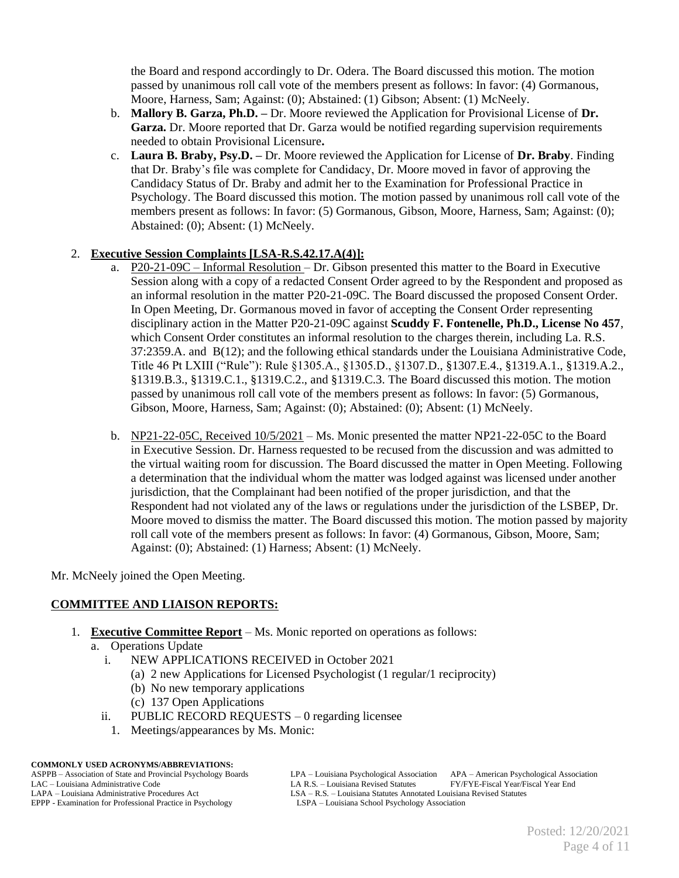the Board and respond accordingly to Dr. Odera. The Board discussed this motion. The motion passed by unanimous roll call vote of the members present as follows: In favor: (4) Gormanous, Moore, Harness, Sam; Against: (0); Abstained: (1) Gibson; Absent: (1) McNeely.

- b. **Mallory B. Garza, Ph.D. –** Dr. Moore reviewed the Application for Provisional License of **Dr. Garza.** Dr. Moore reported that Dr. Garza would be notified regarding supervision requirements needed to obtain Provisional Licensure**.**
- c. **Laura B. Braby, Psy.D. –** Dr. Moore reviewed the Application for License of **Dr. Braby**. Finding that Dr. Braby's file was complete for Candidacy, Dr. Moore moved in favor of approving the Candidacy Status of Dr. Braby and admit her to the Examination for Professional Practice in Psychology. The Board discussed this motion. The motion passed by unanimous roll call vote of the members present as follows: In favor: (5) Gormanous, Gibson, Moore, Harness, Sam; Against: (0); Abstained: (0); Absent: (1) McNeely.

## 2. **Executive Session Complaints [LSA-R.S.42.17.A(4)]:**

- a. P20-21-09C Informal Resolution Dr. Gibson presented this matter to the Board in Executive Session along with a copy of a redacted Consent Order agreed to by the Respondent and proposed as an informal resolution in the matter P20-21-09C. The Board discussed the proposed Consent Order. In Open Meeting, Dr. Gormanous moved in favor of accepting the Consent Order representing disciplinary action in the Matter P20-21-09C against **Scuddy F. Fontenelle, Ph.D., License No 457**, which Consent Order constitutes an informal resolution to the charges therein, including La. R.S. 37:2359.A. and B(12); and the following ethical standards under the Louisiana Administrative Code, Title 46 Pt LXIII ("Rule"): Rule §1305.A., §1305.D., §1307.D., §1307.E.4., §1319.A.1., §1319.A.2., §1319.B.3., §1319.C.1., §1319.C.2., and §1319.C.3. The Board discussed this motion. The motion passed by unanimous roll call vote of the members present as follows: In favor: (5) Gormanous, Gibson, Moore, Harness, Sam; Against: (0); Abstained: (0); Absent: (1) McNeely.
- b. NP21-22-05C, Received 10/5/2021 Ms. Monic presented the matter NP21-22-05C to the Board in Executive Session. Dr. Harness requested to be recused from the discussion and was admitted to the virtual waiting room for discussion. The Board discussed the matter in Open Meeting. Following a determination that the individual whom the matter was lodged against was licensed under another jurisdiction, that the Complainant had been notified of the proper jurisdiction, and that the Respondent had not violated any of the laws or regulations under the jurisdiction of the LSBEP, Dr. Moore moved to dismiss the matter. The Board discussed this motion. The motion passed by majority roll call vote of the members present as follows: In favor: (4) Gormanous, Gibson, Moore, Sam; Against: (0); Abstained: (1) Harness; Absent: (1) McNeely.

Mr. McNeely joined the Open Meeting.

## **COMMITTEE AND LIAISON REPORTS:**

- 1. **Executive Committee Report** Ms. Monic reported on operations as follows:
	- a. Operations Update
		- i. NEW APPLICATIONS RECEIVED in October 2021
			- (a) 2 new Applications for Licensed Psychologist (1 regular/1 reciprocity)
			- (b) No new temporary applications
			- (c) 137 Open Applications
		- ii. PUBLIC RECORD REQUESTS 0 regarding licensee
		- 1. Meetings/appearances by Ms. Monic:

**COMMONLY USED ACRONYMS/ABBREVIATIONS:**

EPPP - Examination for Professional Practice in Psychology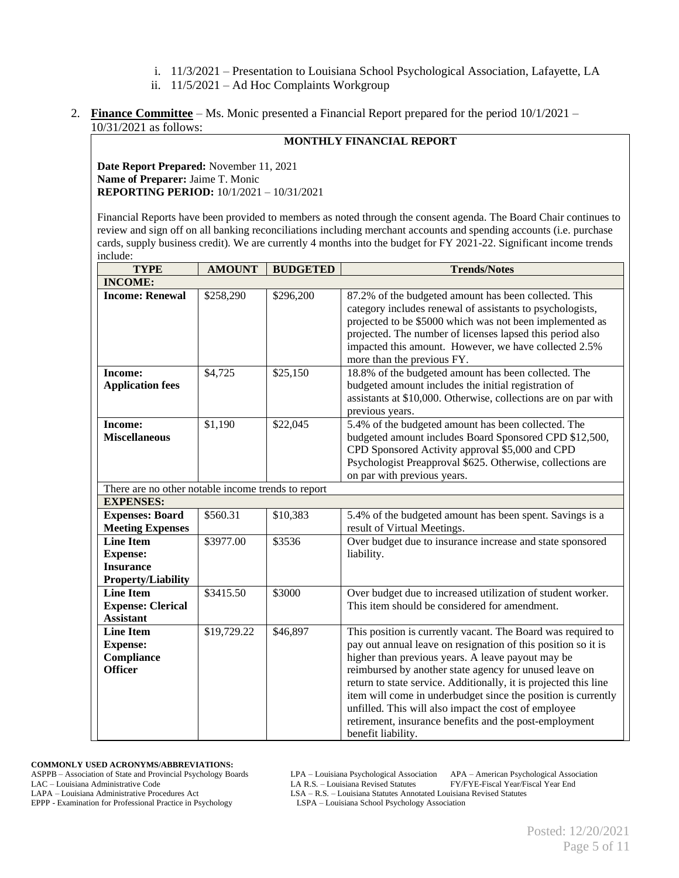- i. 11/3/2021 Presentation to Louisiana School Psychological Association, Lafayette, LA
- ii. 11/5/2021 Ad Hoc Complaints Workgroup
- 2. **Finance Committee** Ms. Monic presented a Financial Report prepared for the period 10/1/2021 10/31/2021 as follows:

# **MONTHLY FINANCIAL REPORT**

**Date Report Prepared:** November 11, 2021 **Name of Preparer:** Jaime T. Monic **REPORTING PERIOD:** 10/1/2021 – 10/31/2021

Financial Reports have been provided to members as noted through the consent agenda. The Board Chair continues to review and sign off on all banking reconciliations including merchant accounts and spending accounts (i.e. purchase cards, supply business credit). We are currently 4 months into the budget for FY 2021-22. Significant income trends include:

| <b>TYPE</b>                                                                          | <b>AMOUNT</b> | <b>BUDGETED</b> | <b>Trends/Notes</b>                                                                                                                                                                                                                                                                                                                                                                                                                                                                                                       |
|--------------------------------------------------------------------------------------|---------------|-----------------|---------------------------------------------------------------------------------------------------------------------------------------------------------------------------------------------------------------------------------------------------------------------------------------------------------------------------------------------------------------------------------------------------------------------------------------------------------------------------------------------------------------------------|
| <b>INCOME:</b>                                                                       |               |                 |                                                                                                                                                                                                                                                                                                                                                                                                                                                                                                                           |
| <b>Income: Renewal</b>                                                               | \$258,290     | \$296,200       | 87.2% of the budgeted amount has been collected. This<br>category includes renewal of assistants to psychologists,<br>projected to be \$5000 which was not been implemented as<br>projected. The number of licenses lapsed this period also<br>impacted this amount. However, we have collected 2.5%<br>more than the previous FY.                                                                                                                                                                                        |
| <b>Income:</b><br><b>Application fees</b>                                            | \$4,725       | \$25,150        | 18.8% of the budgeted amount has been collected. The<br>budgeted amount includes the initial registration of<br>assistants at \$10,000. Otherwise, collections are on par with<br>previous years.                                                                                                                                                                                                                                                                                                                         |
| <b>Income:</b><br><b>Miscellaneous</b>                                               | \$1,190       | \$22,045        | 5.4% of the budgeted amount has been collected. The<br>budgeted amount includes Board Sponsored CPD \$12,500,<br>CPD Sponsored Activity approval \$5,000 and CPD<br>Psychologist Preapproval \$625. Otherwise, collections are<br>on par with previous years.                                                                                                                                                                                                                                                             |
| There are no other notable income trends to report                                   |               |                 |                                                                                                                                                                                                                                                                                                                                                                                                                                                                                                                           |
| <b>EXPENSES:</b>                                                                     |               |                 |                                                                                                                                                                                                                                                                                                                                                                                                                                                                                                                           |
| <b>Expenses: Board</b>                                                               | \$560.31      | \$10,383        | 5.4% of the budgeted amount has been spent. Savings is a                                                                                                                                                                                                                                                                                                                                                                                                                                                                  |
| <b>Meeting Expenses</b>                                                              |               |                 | result of Virtual Meetings.                                                                                                                                                                                                                                                                                                                                                                                                                                                                                               |
| <b>Line Item</b><br><b>Expense:</b><br><b>Insurance</b><br><b>Property/Liability</b> | \$3977.00     | \$3536          | Over budget due to insurance increase and state sponsored<br>liability.                                                                                                                                                                                                                                                                                                                                                                                                                                                   |
| <b>Line Item</b><br><b>Expense: Clerical</b><br><b>Assistant</b>                     | \$3415.50     | \$3000          | Over budget due to increased utilization of student worker.<br>This item should be considered for amendment.                                                                                                                                                                                                                                                                                                                                                                                                              |
| <b>Line Item</b><br><b>Expense:</b><br><b>Compliance</b><br><b>Officer</b>           | \$19,729.22   | \$46,897        | This position is currently vacant. The Board was required to<br>pay out annual leave on resignation of this position so it is<br>higher than previous years. A leave payout may be<br>reimbursed by another state agency for unused leave on<br>return to state service. Additionally, it is projected this line<br>item will come in underbudget since the position is currently<br>unfilled. This will also impact the cost of employee<br>retirement, insurance benefits and the post-employment<br>benefit liability. |

**COMMONLY USED ACRONYMS/ABBREVIATIONS:**

ASPPB – Association of State and Provincial Psychology Boards LPA – Louisiana Psychological Association APA – American Psychological Association LAC – Louisiana Administrative Code LA R.S. – Louisiana Revised Statutes FY/FYE-Fiscal Year/Fiscal Year End<br>LAPA – Louisiana Administrative Procedures Act LSA – R.S. – Louisiana Statutes Annotated Louisiana Revised Statute

EPPP - Examination for Professional Practice in Psychology

LSA – R.S. – Louisiana Statutes Annotated Louisiana Revised Statutes LSPA – Louisiana School Psychology Association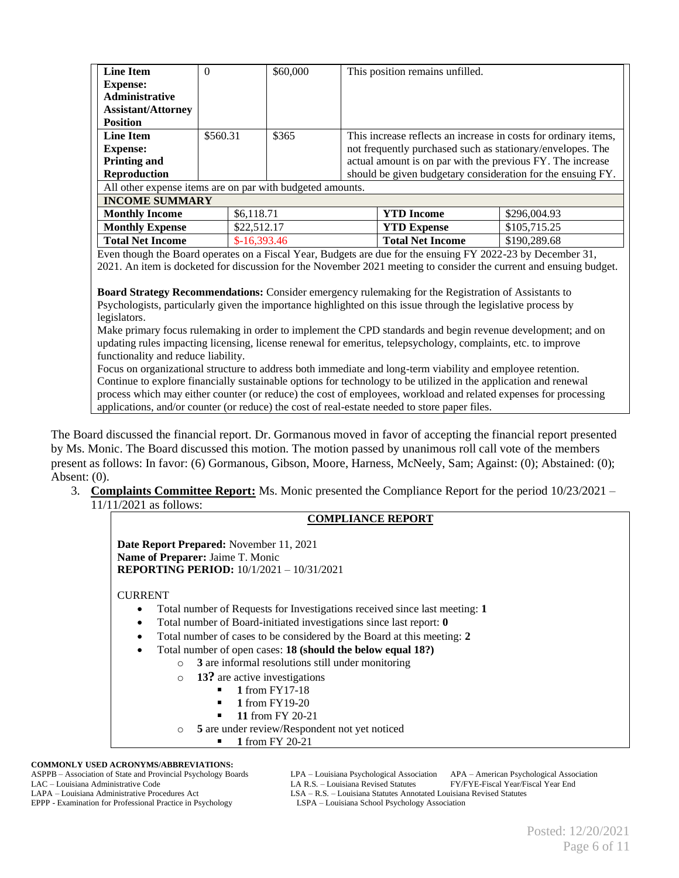| <b>Line Item</b>                                          | $\Omega$          | \$60,000 |                                                                 | This position remains unfilled.                            |              |  |
|-----------------------------------------------------------|-------------------|----------|-----------------------------------------------------------------|------------------------------------------------------------|--------------|--|
| <b>Expense:</b>                                           |                   |          |                                                                 |                                                            |              |  |
| <b>Administrative</b>                                     |                   |          |                                                                 |                                                            |              |  |
| <b>Assistant/Attorney</b>                                 |                   |          |                                                                 |                                                            |              |  |
| <b>Position</b>                                           |                   |          |                                                                 |                                                            |              |  |
| <b>Line Item</b>                                          | \$365<br>\$560.31 |          | This increase reflects an increase in costs for ordinary items, |                                                            |              |  |
| <b>Expense:</b>                                           |                   |          |                                                                 | not frequently purchased such as stationary/envelopes. The |              |  |
| <b>Printing and</b>                                       |                   |          | actual amount is on par with the previous FY. The increase      |                                                            |              |  |
| <b>Reproduction</b>                                       |                   |          | should be given budgetary consideration for the ensuing FY.     |                                                            |              |  |
| All other expense items are on par with budgeted amounts. |                   |          |                                                                 |                                                            |              |  |
| <b>INCOME SUMMARY</b>                                     |                   |          |                                                                 |                                                            |              |  |
| <b>Monthly Income</b>                                     | \$6,118.71        |          |                                                                 | <b>YTD</b> Income                                          | \$296,004.93 |  |
| <b>Monthly Expense</b>                                    | \$22,512.17       |          |                                                                 | <b>YTD Expense</b>                                         | \$105,715.25 |  |
| <b>Total Net Income</b>                                   | $$-16,393.46$     |          |                                                                 | <b>Total Net Income</b>                                    | \$190,289.68 |  |

Even though the Board operates on a Fiscal Year, Budgets are due for the ensuing FY 2022-23 by December 31, 2021. An item is docketed for discussion for the November 2021 meeting to consider the current and ensuing budget.

**Board Strategy Recommendations:** Consider emergency rulemaking for the Registration of Assistants to Psychologists, particularly given the importance highlighted on this issue through the legislative process by legislators.

Make primary focus rulemaking in order to implement the CPD standards and begin revenue development; and on updating rules impacting licensing, license renewal for emeritus, telepsychology, complaints, etc. to improve functionality and reduce liability.

Focus on organizational structure to address both immediate and long-term viability and employee retention. Continue to explore financially sustainable options for technology to be utilized in the application and renewal process which may either counter (or reduce) the cost of employees, workload and related expenses for processing applications, and/or counter (or reduce) the cost of real-estate needed to store paper files.

The Board discussed the financial report. Dr. Gormanous moved in favor of accepting the financial report presented by Ms. Monic. The Board discussed this motion. The motion passed by unanimous roll call vote of the members present as follows: In favor: (6) Gormanous, Gibson, Moore, Harness, McNeely, Sam; Against: (0); Abstained: (0); Absent: (0).

3. **Complaints Committee Report:** Ms. Monic presented the Compliance Report for the period 10/23/2021 – 11/11/2021 as follows:

#### **COMPLIANCE REPORT**

**Date Report Prepared:** November 11, 2021 **Name of Preparer:** Jaime T. Monic **REPORTING PERIOD:** 10/1/2021 – 10/31/2021

CURRENT

- Total number of Requests for Investigations received since last meeting: **1**
- Total number of Board-initiated investigations since last report: **0**
- Total number of cases to be considered by the Board at this meeting: **2**
- Total number of open cases: **18 (should the below equal 18?)**
	- o **3** are informal resolutions still under monitoring
	- o **13?** are active investigations
		- **1** from FY17-18
			- **1** from FY19-20
			- **11** from FY 20-21
	- o **5** are under review/Respondent not yet noticed
		- **1** from FY 20-21

#### **COMMONLY USED ACRONYMS/ABBREVIATIONS:**

EPPP - Examination for Professional Practice in Psychology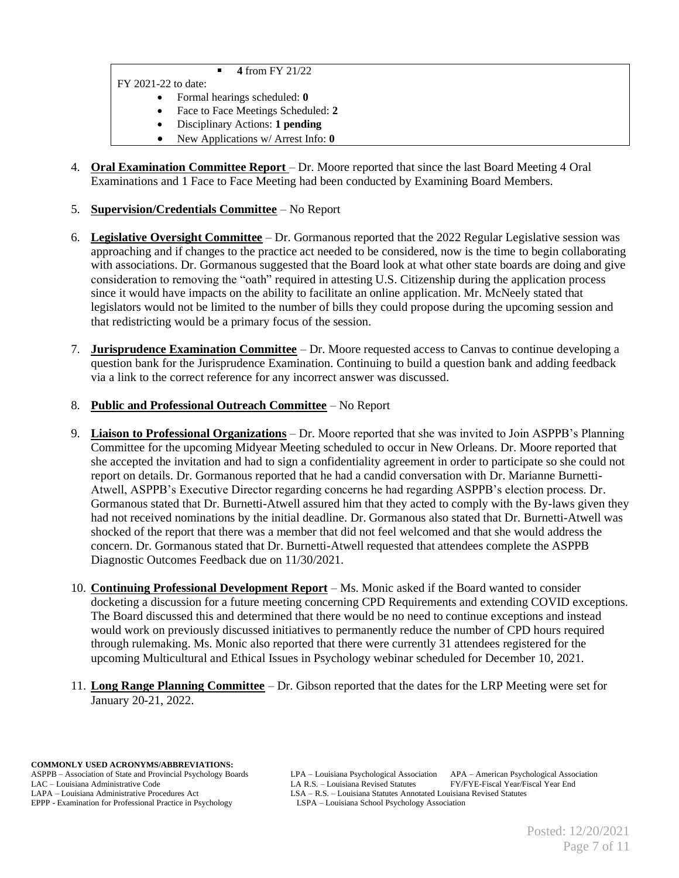**4** from FY 21/22

FY 2021-22 to date:

- Formal hearings scheduled: **0**
- Face to Face Meetings Scheduled: **2**
- Disciplinary Actions: **1 pending**
- New Applications w/ Arrest Info: **0**
- 4. **Oral Examination Committee Report**  Dr. Moore reported that since the last Board Meeting 4 Oral Examinations and 1 Face to Face Meeting had been conducted by Examining Board Members.

## 5. **Supervision/Credentials Committee** – No Report

- 6. **Legislative Oversight Committee** Dr. Gormanous reported that the 2022 Regular Legislative session was approaching and if changes to the practice act needed to be considered, now is the time to begin collaborating with associations. Dr. Gormanous suggested that the Board look at what other state boards are doing and give consideration to removing the "oath" required in attesting U.S. Citizenship during the application process since it would have impacts on the ability to facilitate an online application. Mr. McNeely stated that legislators would not be limited to the number of bills they could propose during the upcoming session and that redistricting would be a primary focus of the session.
- 7. **Jurisprudence Examination Committee** Dr. Moore requested access to Canvas to continue developing a question bank for the Jurisprudence Examination. Continuing to build a question bank and adding feedback via a link to the correct reference for any incorrect answer was discussed.

## 8. **Public and Professional Outreach Committee** – No Report

- 9. **Liaison to Professional Organizations** Dr. Moore reported that she was invited to Join ASPPB's Planning Committee for the upcoming Midyear Meeting scheduled to occur in New Orleans. Dr. Moore reported that she accepted the invitation and had to sign a confidentiality agreement in order to participate so she could not report on details. Dr. Gormanous reported that he had a candid conversation with Dr. Marianne Burnetti-Atwell, ASPPB's Executive Director regarding concerns he had regarding ASPPB's election process. Dr. Gormanous stated that Dr. Burnetti-Atwell assured him that they acted to comply with the By-laws given they had not received nominations by the initial deadline. Dr. Gormanous also stated that Dr. Burnetti-Atwell was shocked of the report that there was a member that did not feel welcomed and that she would address the concern. Dr. Gormanous stated that Dr. Burnetti-Atwell requested that attendees complete the ASPPB Diagnostic Outcomes Feedback due on 11/30/2021.
- 10. **Continuing Professional Development Report** Ms. Monic asked if the Board wanted to consider docketing a discussion for a future meeting concerning CPD Requirements and extending COVID exceptions. The Board discussed this and determined that there would be no need to continue exceptions and instead would work on previously discussed initiatives to permanently reduce the number of CPD hours required through rulemaking. Ms. Monic also reported that there were currently 31 attendees registered for the upcoming Multicultural and Ethical Issues in Psychology webinar scheduled for December 10, 2021.
- 11. **Long Range Planning Committee** Dr. Gibson reported that the dates for the LRP Meeting were set for January 20-21, 2022.

**COMMONLY USED ACRONYMS/ABBREVIATIONS:** EPPP - Examination for Professional Practice in Psychology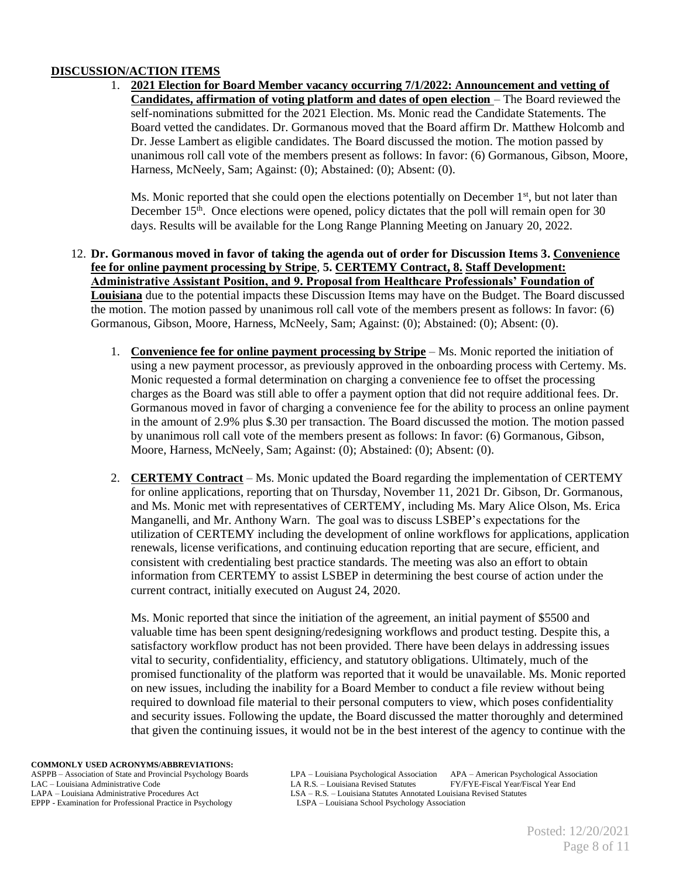## **DISCUSSION/ACTION ITEMS**

1. **2021 Election for Board Member vacancy occurring 7/1/2022: Announcement and vetting of Candidates, affirmation of voting platform and dates of open election** – The Board reviewed the self-nominations submitted for the 2021 Election. Ms. Monic read the Candidate Statements. The Board vetted the candidates. Dr. Gormanous moved that the Board affirm Dr. Matthew Holcomb and Dr. Jesse Lambert as eligible candidates. The Board discussed the motion. The motion passed by unanimous roll call vote of the members present as follows: In favor: (6) Gormanous, Gibson, Moore, Harness, McNeely, Sam; Against: (0); Abstained: (0); Absent: (0).

Ms. Monic reported that she could open the elections potentially on December  $1<sup>st</sup>$ , but not later than December  $15<sup>th</sup>$ . Once elections were opened, policy dictates that the poll will remain open for 30 days. Results will be available for the Long Range Planning Meeting on January 20, 2022.

- 12. **Dr. Gormanous moved in favor of taking the agenda out of order for Discussion Items 3. Convenience fee for online payment processing by Stripe**, **5. CERTEMY Contract, 8. Staff Development: Administrative Assistant Position, and 9. Proposal from Healthcare Professionals' Foundation of Louisiana** due to the potential impacts these Discussion Items may have on the Budget. The Board discussed the motion. The motion passed by unanimous roll call vote of the members present as follows: In favor: (6) Gormanous, Gibson, Moore, Harness, McNeely, Sam; Against: (0); Abstained: (0); Absent: (0).
	- 1. **Convenience fee for online payment processing by Stripe** Ms. Monic reported the initiation of using a new payment processor, as previously approved in the onboarding process with Certemy. Ms. Monic requested a formal determination on charging a convenience fee to offset the processing charges as the Board was still able to offer a payment option that did not require additional fees. Dr. Gormanous moved in favor of charging a convenience fee for the ability to process an online payment in the amount of 2.9% plus \$.30 per transaction. The Board discussed the motion. The motion passed by unanimous roll call vote of the members present as follows: In favor: (6) Gormanous, Gibson, Moore, Harness, McNeely, Sam; Against: (0); Abstained: (0); Absent: (0).
	- 2. **CERTEMY Contract** Ms. Monic updated the Board regarding the implementation of CERTEMY for online applications, reporting that on Thursday, November 11, 2021 Dr. Gibson, Dr. Gormanous, and Ms. Monic met with representatives of CERTEMY, including Ms. Mary Alice Olson, Ms. Erica Manganelli, and Mr. Anthony Warn. The goal was to discuss LSBEP's expectations for the utilization of CERTEMY including the development of online workflows for applications, application renewals, license verifications, and continuing education reporting that are secure, efficient, and consistent with credentialing best practice standards. The meeting was also an effort to obtain information from CERTEMY to assist LSBEP in determining the best course of action under the current contract, initially executed on August 24, 2020.

Ms. Monic reported that since the initiation of the agreement, an initial payment of \$5500 and valuable time has been spent designing/redesigning workflows and product testing. Despite this, a satisfactory workflow product has not been provided. There have been delays in addressing issues vital to security, confidentiality, efficiency, and statutory obligations. Ultimately, much of the promised functionality of the platform was reported that it would be unavailable. Ms. Monic reported on new issues, including the inability for a Board Member to conduct a file review without being required to download file material to their personal computers to view, which poses confidentiality and security issues. Following the update, the Board discussed the matter thoroughly and determined that given the continuing issues, it would not be in the best interest of the agency to continue with the

**COMMONLY USED ACRONYMS/ABBREVIATIONS:**

EPPP - Examination for Professional Practice in Psychology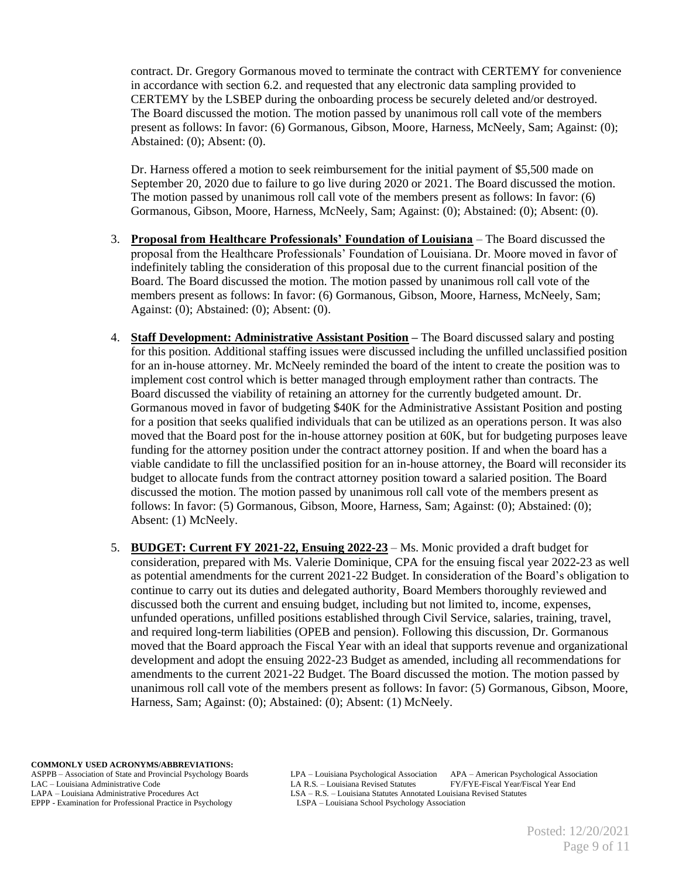contract. Dr. Gregory Gormanous moved to terminate the contract with CERTEMY for convenience in accordance with section 6.2. and requested that any electronic data sampling provided to CERTEMY by the LSBEP during the onboarding process be securely deleted and/or destroyed. The Board discussed the motion. The motion passed by unanimous roll call vote of the members present as follows: In favor: (6) Gormanous, Gibson, Moore, Harness, McNeely, Sam; Against: (0); Abstained: (0); Absent: (0).

Dr. Harness offered a motion to seek reimbursement for the initial payment of \$5,500 made on September 20, 2020 due to failure to go live during 2020 or 2021. The Board discussed the motion. The motion passed by unanimous roll call vote of the members present as follows: In favor: (6) Gormanous, Gibson, Moore, Harness, McNeely, Sam; Against: (0); Abstained: (0); Absent: (0).

- 3. **Proposal from Healthcare Professionals' Foundation of Louisiana** The Board discussed the proposal from the Healthcare Professionals' Foundation of Louisiana. Dr. Moore moved in favor of indefinitely tabling the consideration of this proposal due to the current financial position of the Board. The Board discussed the motion. The motion passed by unanimous roll call vote of the members present as follows: In favor: (6) Gormanous, Gibson, Moore, Harness, McNeely, Sam; Against: (0); Abstained: (0); Absent: (0).
- 4. **Staff Development: Administrative Assistant Position –** The Board discussed salary and posting for this position. Additional staffing issues were discussed including the unfilled unclassified position for an in-house attorney. Mr. McNeely reminded the board of the intent to create the position was to implement cost control which is better managed through employment rather than contracts. The Board discussed the viability of retaining an attorney for the currently budgeted amount. Dr. Gormanous moved in favor of budgeting \$40K for the Administrative Assistant Position and posting for a position that seeks qualified individuals that can be utilized as an operations person. It was also moved that the Board post for the in-house attorney position at 60K, but for budgeting purposes leave funding for the attorney position under the contract attorney position. If and when the board has a viable candidate to fill the unclassified position for an in-house attorney, the Board will reconsider its budget to allocate funds from the contract attorney position toward a salaried position. The Board discussed the motion. The motion passed by unanimous roll call vote of the members present as follows: In favor: (5) Gormanous, Gibson, Moore, Harness, Sam; Against: (0); Abstained: (0); Absent: (1) McNeely.
- 5. **BUDGET: Current FY 2021-22, Ensuing 2022-23** Ms. Monic provided a draft budget for consideration, prepared with Ms. Valerie Dominique, CPA for the ensuing fiscal year 2022-23 as well as potential amendments for the current 2021-22 Budget. In consideration of the Board's obligation to continue to carry out its duties and delegated authority, Board Members thoroughly reviewed and discussed both the current and ensuing budget, including but not limited to, income, expenses, unfunded operations, unfilled positions established through Civil Service, salaries, training, travel, and required long-term liabilities (OPEB and pension). Following this discussion, Dr. Gormanous moved that the Board approach the Fiscal Year with an ideal that supports revenue and organizational development and adopt the ensuing 2022-23 Budget as amended, including all recommendations for amendments to the current 2021-22 Budget. The Board discussed the motion. The motion passed by unanimous roll call vote of the members present as follows: In favor: (5) Gormanous, Gibson, Moore, Harness, Sam; Against: (0); Abstained: (0); Absent: (1) McNeely.

**COMMONLY USED ACRONYMS/ABBREVIATIONS:**

EPPP - Examination for Professional Practice in Psychology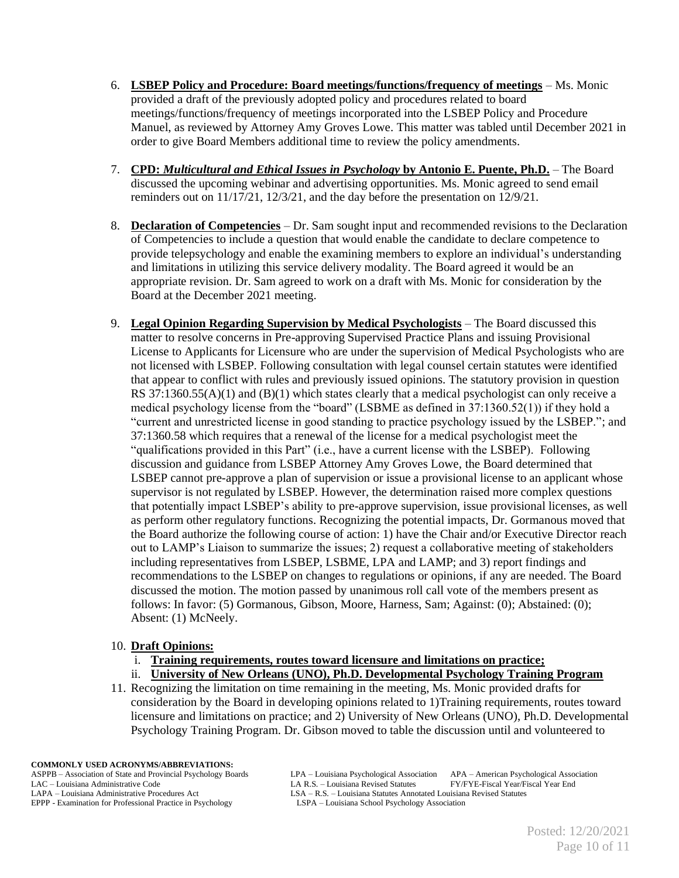- 6. **LSBEP Policy and Procedure: Board meetings/functions/frequency of meetings** Ms. Monic provided a draft of the previously adopted policy and procedures related to board meetings/functions/frequency of meetings incorporated into the LSBEP Policy and Procedure Manuel, as reviewed by Attorney Amy Groves Lowe. This matter was tabled until December 2021 in order to give Board Members additional time to review the policy amendments.
- 7. **CPD:** *Multicultural and Ethical Issues in Psychology* **by Antonio E. Puente, Ph.D.** The Board discussed the upcoming webinar and advertising opportunities. Ms. Monic agreed to send email reminders out on 11/17/21, 12/3/21, and the day before the presentation on 12/9/21.
- 8. **Declaration of Competencies** Dr. Sam sought input and recommended revisions to the Declaration of Competencies to include a question that would enable the candidate to declare competence to provide telepsychology and enable the examining members to explore an individual's understanding and limitations in utilizing this service delivery modality. The Board agreed it would be an appropriate revision. Dr. Sam agreed to work on a draft with Ms. Monic for consideration by the Board at the December 2021 meeting.
- 9. **Legal Opinion Regarding Supervision by Medical Psychologists** The Board discussed this matter to resolve concerns in Pre-approving Supervised Practice Plans and issuing Provisional License to Applicants for Licensure who are under the supervision of Medical Psychologists who are not licensed with LSBEP. Following consultation with legal counsel certain statutes were identified that appear to conflict with rules and previously issued opinions. The statutory provision in question RS  $37:1360.55(A)(1)$  and  $(B)(1)$  which states clearly that a medical psychologist can only receive a medical psychology license from the "board" (LSBME as defined in 37:1360.52(1)) if they hold a "current and unrestricted license in good standing to practice psychology issued by the LSBEP."; and 37:1360.58 which requires that a renewal of the license for a medical psychologist meet the "qualifications provided in this Part" (i.e., have a current license with the LSBEP). Following discussion and guidance from LSBEP Attorney Amy Groves Lowe, the Board determined that LSBEP cannot pre-approve a plan of supervision or issue a provisional license to an applicant whose supervisor is not regulated by LSBEP. However, the determination raised more complex questions that potentially impact LSBEP's ability to pre-approve supervision, issue provisional licenses, as well as perform other regulatory functions. Recognizing the potential impacts, Dr. Gormanous moved that the Board authorize the following course of action: 1) have the Chair and/or Executive Director reach out to LAMP's Liaison to summarize the issues; 2) request a collaborative meeting of stakeholders including representatives from LSBEP, LSBME, LPA and LAMP; and 3) report findings and recommendations to the LSBEP on changes to regulations or opinions, if any are needed. The Board discussed the motion. The motion passed by unanimous roll call vote of the members present as follows: In favor: (5) Gormanous, Gibson, Moore, Harness, Sam; Against: (0); Abstained: (0); Absent: (1) McNeely.

### 10. **Draft Opinions:**

- i. **Training requirements, routes toward licensure and limitations on practice;**
- ii. **University of New Orleans (UNO), Ph.D. Developmental Psychology Training Program**
- 11. Recognizing the limitation on time remaining in the meeting, Ms. Monic provided drafts for consideration by the Board in developing opinions related to 1)Training requirements, routes toward licensure and limitations on practice; and 2) University of New Orleans (UNO), Ph.D. Developmental Psychology Training Program. Dr. Gibson moved to table the discussion until and volunteered to

**COMMONLY USED ACRONYMS/ABBREVIATIONS:** EPPP - Examination for Professional Practice in Psychology